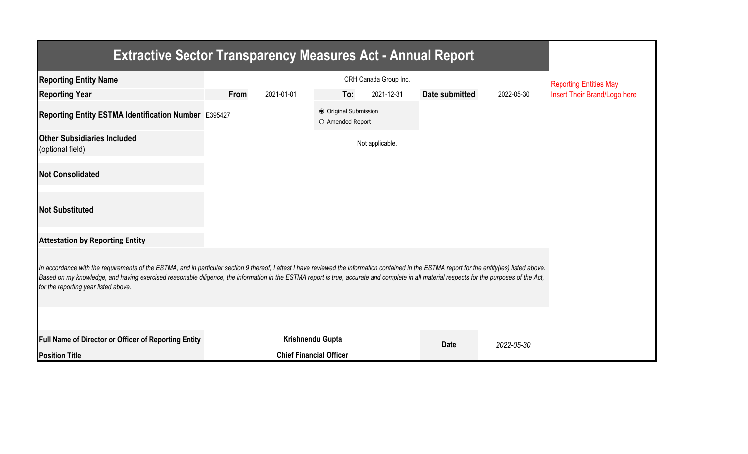| <b>Extractive Sector Transparency Measures Act - Annual Report</b>                                                                                                                                                                                                                                                                                                                                                                    |      |                                |                                           |                       |                |            |                               |
|---------------------------------------------------------------------------------------------------------------------------------------------------------------------------------------------------------------------------------------------------------------------------------------------------------------------------------------------------------------------------------------------------------------------------------------|------|--------------------------------|-------------------------------------------|-----------------------|----------------|------------|-------------------------------|
| <b>Reporting Entity Name</b>                                                                                                                                                                                                                                                                                                                                                                                                          |      |                                |                                           | CRH Canada Group Inc. |                |            | <b>Reporting Entities May</b> |
| <b>Reporting Year</b>                                                                                                                                                                                                                                                                                                                                                                                                                 | From | 2021-01-01                     | To:                                       | 2021-12-31            | Date submitted | 2022-05-30 | Insert Their Brand/Logo here  |
| Reporting Entity ESTMA Identification Number E395427                                                                                                                                                                                                                                                                                                                                                                                  |      |                                | ● Original Submission<br>O Amended Report |                       |                |            |                               |
| <b>Other Subsidiaries Included</b><br>(optional field)                                                                                                                                                                                                                                                                                                                                                                                |      |                                |                                           | Not applicable.       |                |            |                               |
| <b>Not Consolidated</b>                                                                                                                                                                                                                                                                                                                                                                                                               |      |                                |                                           |                       |                |            |                               |
| <b>Not Substituted</b>                                                                                                                                                                                                                                                                                                                                                                                                                |      |                                |                                           |                       |                |            |                               |
| <b>Attestation by Reporting Entity</b>                                                                                                                                                                                                                                                                                                                                                                                                |      |                                |                                           |                       |                |            |                               |
| In accordance with the requirements of the ESTMA, and in particular section 9 thereof, I attest I have reviewed the information contained in the ESTMA report for the entity(ies) listed above.<br>Based on my knowledge, and having exercised reasonable diligence, the information in the ESTMA report is true, accurate and complete in all material respects for the purposes of the Act,<br>for the reporting year listed above. |      |                                |                                           |                       |                |            |                               |
|                                                                                                                                                                                                                                                                                                                                                                                                                                       |      |                                |                                           |                       |                |            |                               |
| Full Name of Director or Officer of Reporting Entity                                                                                                                                                                                                                                                                                                                                                                                  |      | Krishnendu Gupta               |                                           |                       | <b>Date</b>    | 2022-05-30 |                               |
| <b>Position Title</b>                                                                                                                                                                                                                                                                                                                                                                                                                 |      | <b>Chief Financial Officer</b> |                                           |                       |                |            |                               |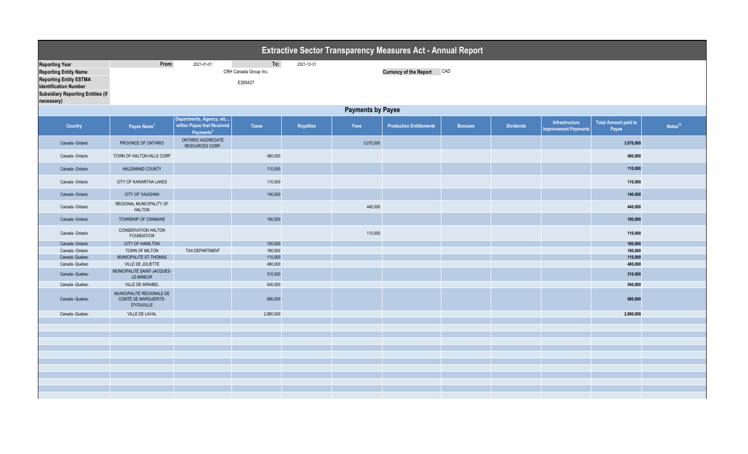|                                          |                                                                        |                                                                                 |                       |                  |           | <b>Extractive Sector Transparency Measures Act - Annual Report</b> |                |                  |                                               |                                      |                     |  |  |
|------------------------------------------|------------------------------------------------------------------------|---------------------------------------------------------------------------------|-----------------------|------------------|-----------|--------------------------------------------------------------------|----------------|------------------|-----------------------------------------------|--------------------------------------|---------------------|--|--|
| <b>Reporting Year</b>                    | From:                                                                  | 2021-01-01                                                                      | To:                   | 2021-12-31       |           |                                                                    |                |                  |                                               |                                      |                     |  |  |
| <b>Reporting Entity Name</b>             |                                                                        |                                                                                 | CRH Canada Group Inc. |                  |           | <b>Currency of the Report</b>                                      | CAD            |                  |                                               |                                      |                     |  |  |
| <b>Reporting Entity ESTMA</b>            |                                                                        |                                                                                 |                       |                  |           |                                                                    |                |                  |                                               |                                      |                     |  |  |
| <b>Identification Number</b>             | E395427                                                                |                                                                                 |                       |                  |           |                                                                    |                |                  |                                               |                                      |                     |  |  |
| <b>Subsidiary Reporting Entities (if</b> |                                                                        |                                                                                 |                       |                  |           |                                                                    |                |                  |                                               |                                      |                     |  |  |
| necessary)                               |                                                                        |                                                                                 |                       |                  |           |                                                                    |                |                  |                                               |                                      |                     |  |  |
|                                          | <b>Payments by Payee</b>                                               |                                                                                 |                       |                  |           |                                                                    |                |                  |                                               |                                      |                     |  |  |
|                                          |                                                                        |                                                                                 |                       |                  |           |                                                                    |                |                  |                                               |                                      |                     |  |  |
| Country                                  | Payee Name <sup>1</sup>                                                | Departments, Agency, etc<br>within Payee that Received<br>Payments <sup>2</sup> | <b>Taxes</b>          | <b>Royalties</b> | Fees      | <b>Production Entitlements</b>                                     | <b>Bonuses</b> | <b>Dividends</b> | Infrastructure<br><b>Improvement Payments</b> | <b>Total Amount paid to</b><br>Payee | Notes <sup>34</sup> |  |  |
| Canada -Ontario                          | PROVINCE OF ONTARIO                                                    | ONTARIO AGGREGATE<br>RESOURCES CORP.                                            |                       |                  | 3,070,000 |                                                                    |                |                  |                                               | 3,070,000                            |                     |  |  |
| Canada -Ontario                          | TOWN OF HALTON HILLS CORP                                              |                                                                                 | 480,000               |                  |           |                                                                    |                |                  |                                               | 480,000                              |                     |  |  |
| Canada -Ontario                          | <b>HALDIMAND COUNTY</b>                                                |                                                                                 | 110,000               |                  |           |                                                                    |                |                  |                                               | 110,000                              |                     |  |  |
| Canada -Ontario                          | CITY OF KAWARTHA LAKES                                                 |                                                                                 | 110,000               |                  |           |                                                                    |                |                  |                                               | 110,000                              |                     |  |  |
| Canada -Ontario                          | CITY OF VAUGHAN                                                        |                                                                                 | 140,000               |                  |           |                                                                    |                |                  |                                               | 140,000                              |                     |  |  |
| Canada -Ontario                          | REGIONAL MUNICIPALITY OF<br><b>HALTON</b>                              |                                                                                 |                       |                  | 440,000   |                                                                    |                |                  |                                               | 440,000                              |                     |  |  |
| Canada -Ontario                          | TOWNSHIP OF CRAMAHE                                                    |                                                                                 | 190,000               |                  |           |                                                                    |                |                  |                                               | 190,000                              |                     |  |  |
| Canada -Ontario                          | <b>CONSERVATION HALTON</b><br><b>FOUNDATION</b>                        |                                                                                 |                       |                  | 110,000   |                                                                    |                |                  |                                               | 110,000                              |                     |  |  |
| Canada -Ontario                          | <b>CITY OF HAMILTON</b>                                                |                                                                                 | 100,000               |                  |           |                                                                    |                |                  |                                               | 100,000                              |                     |  |  |
| Canada -Ontario                          | TOWN OF MILTON                                                         | <b>TAX DEPARTMENT</b>                                                           | 180,000               |                  |           |                                                                    |                |                  |                                               | 180,000                              |                     |  |  |
| Canada - Quebec                          | MUNICIPALITE ST-THOMAS                                                 |                                                                                 | 110,000               |                  |           |                                                                    |                |                  |                                               | 110,000                              |                     |  |  |
| Canada - Quebec                          | VILLE DE JOLIETTE                                                      |                                                                                 | 480,000               |                  |           |                                                                    |                |                  |                                               | 480,000                              |                     |  |  |
| Canada - Quebec                          | MUNICIPALITÉ SAINT-JACQUES-<br>LE-MINEUR                               |                                                                                 | 310,000               |                  |           |                                                                    |                |                  |                                               | 310,000                              |                     |  |  |
| Canada - Quebec                          | VILLE DE MIRABEL                                                       |                                                                                 | 540,000               |                  |           |                                                                    |                |                  |                                               | 540,000                              |                     |  |  |
| Canada - Quebec                          | MUNICIPALITÉ RÉGIONALE DE<br>COMTÉ DE MARGUERITE-<br><b>D'YOUVILLE</b> |                                                                                 | 680,000               |                  |           |                                                                    |                |                  |                                               | 680,000                              |                     |  |  |
| Canada - Quebec                          | VILLE DE LAVAL                                                         |                                                                                 | 2,880,000             |                  |           |                                                                    |                |                  |                                               | 2,880,000                            |                     |  |  |
|                                          |                                                                        |                                                                                 |                       |                  |           |                                                                    |                |                  |                                               |                                      |                     |  |  |
|                                          |                                                                        |                                                                                 |                       |                  |           |                                                                    |                |                  |                                               |                                      |                     |  |  |
|                                          |                                                                        |                                                                                 |                       |                  |           |                                                                    |                |                  |                                               |                                      |                     |  |  |
|                                          |                                                                        |                                                                                 |                       |                  |           |                                                                    |                |                  |                                               |                                      |                     |  |  |
|                                          |                                                                        |                                                                                 |                       |                  |           |                                                                    |                |                  |                                               |                                      |                     |  |  |
|                                          |                                                                        |                                                                                 |                       |                  |           |                                                                    |                |                  |                                               |                                      |                     |  |  |
|                                          |                                                                        |                                                                                 |                       |                  |           |                                                                    |                |                  |                                               |                                      |                     |  |  |
|                                          |                                                                        |                                                                                 |                       |                  |           |                                                                    |                |                  |                                               |                                      |                     |  |  |
|                                          |                                                                        |                                                                                 |                       |                  |           |                                                                    |                |                  |                                               |                                      |                     |  |  |
|                                          |                                                                        |                                                                                 |                       |                  |           |                                                                    |                |                  |                                               |                                      |                     |  |  |
|                                          |                                                                        |                                                                                 |                       |                  |           |                                                                    |                |                  |                                               |                                      |                     |  |  |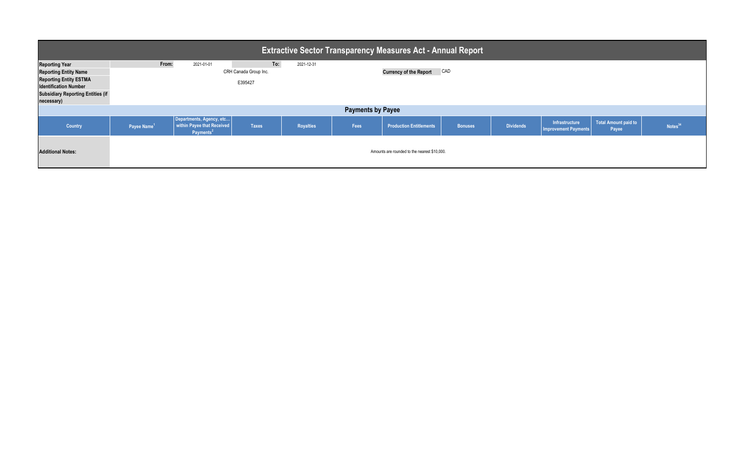| <b>Extractive Sector Transparency Measures Act - Annual Report</b>                     |                          |                                                                                 |                              |                  |      |                                              |                |                  |                                               |                               |                     |  |
|----------------------------------------------------------------------------------------|--------------------------|---------------------------------------------------------------------------------|------------------------------|------------------|------|----------------------------------------------|----------------|------------------|-----------------------------------------------|-------------------------------|---------------------|--|
| <b>Reporting Year</b><br><b>Reporting Entity Name</b><br><b>Reporting Entity ESTMA</b> | From:                    | 2021-01-01                                                                      | To:<br>CRH Canada Group Inc. | 2021-12-31       |      | <b>Currency of the Report</b>                | CAD            |                  |                                               |                               |                     |  |
| <b>Identification Number</b><br><b>Subsidiary Reporting Entities (if</b><br>necessary) | E395427                  |                                                                                 |                              |                  |      |                                              |                |                  |                                               |                               |                     |  |
|                                                                                        | <b>Payments by Payee</b> |                                                                                 |                              |                  |      |                                              |                |                  |                                               |                               |                     |  |
| Country                                                                                | Payee Name <sup>1</sup>  | Departments, Agency, etc<br>within Payee that Received<br>Payments <sup>2</sup> | <b>Taxes</b>                 | <b>Royalties</b> | Fees | <b>Production Entitlements</b>               | <b>Bonuses</b> | <b>Dividends</b> | Infrastructure<br><b>Improvement Payments</b> | Total Amount paid to<br>Payee | Notes <sup>34</sup> |  |
| <b>Additional Notes:</b>                                                               |                          |                                                                                 |                              |                  |      | Amounts are rounded to the nearest \$10,000. |                |                  |                                               |                               |                     |  |